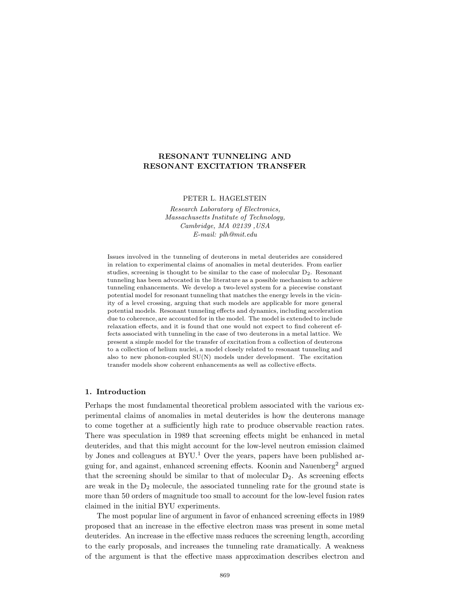# **RESONANT TUNNELING AND RESONANT EXCITATION TRANSFER**

PETER L. HAGELSTEIN

*Research Laboratory of Electronics, Massachusetts Institute of Technology, Cambridge, MA 02139 ,USA E-mail: plh@mit.edu*

Issues involved in the tunneling of deuterons in metal deuterides are considered in relation to experimental claims of anomalies in metal deuterides. From earlier studies, screening is thought to be similar to the case of molecular  $D_2$ . Resonant tunneling has been advocated in the literature as a possible mechanism to achieve tunneling enhancements. We develop a two-level system for a piecewise constant potential model for resonant tunneling that matches the energy levels in the vicinity of a level crossing, arguing that such models are applicable for more general potential models. Resonant tunneling effects and dynamics, including acceleration due to coherence, are accounted for in the model. The model is extended to include relaxation effects, and it is found that one would not expect to find coherent effects associated with tunneling in the case of two deuterons in a metal lattice. We present a simple model for the transfer of excitation from a collection of deuterons to a collection of helium nuclei, a model closely related to resonant tunneling and also to new phonon-coupled SU(N) models under development. The excitation transfer models show coherent enhancements as well as collective effects.

## **1. Introduction**

Perhaps the most fundamental theoretical problem associated with the various experimental claims of anomalies in metal deuterides is how the deuterons manage to come together at a sufficiently high rate to produce observable reaction rates. There was speculation in 1989 that screening effects might be enhanced in metal deuterides, and that this might account for the low-level neutron emission claimed by Jones and colleagues at  $BYU<sup>1</sup>$  Over the years, papers have been published arguing for, and against, enhanced screening effects. Koonin and Nauenberg<sup>2</sup> argued that the screening should be similar to that of molecular  $D_2$ . As screening effects are weak in the  $D_2$  molecule, the associated tunneling rate for the ground state is more than 50 orders of magnitude too small to account for the low-level fusion rates claimed in the initial BYU experiments.

The most popular line of argument in favor of enhanced screening effects in 1989 proposed that an increase in the effective electron mass was present in some metal deuterides. An increase in the effective mass reduces the screening length, according to the early proposals, and increases the tunneling rate dramatically. A weakness of the argument is that the effective mass approximation describes electron and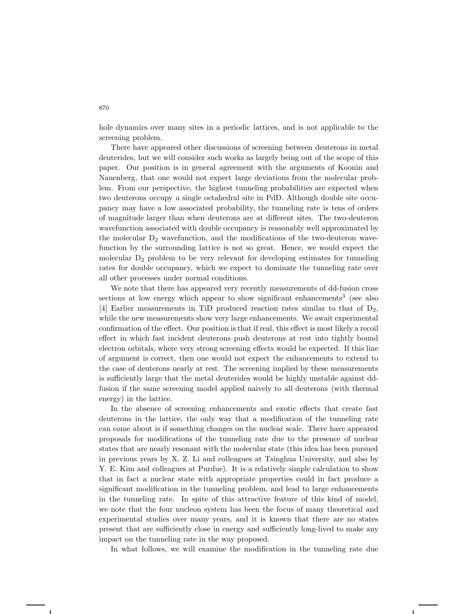hole dynamics over many sites in a periodic lattices, and is not applicable to the screening problem.

There have appeared other discussions of screening between deuterons in metal deuterides, but we will consider such works as largely being out of the scope of this paper. Our position is in general agreement with the arguments of Koonin and Nauenberg, that one would not expect large deviations from the molecular problem. From our perspective, the highest tunneling probabilities are expected when two deuterons occupy a single octahedral site in PdD. Although double site occupancy may have a low associated probability, the tunneling rate is tens of orders of magnitude larger than when deuterons are at different sites. The two-deuteron wavefunction associated with double occupancy is reasonably well approximated by the molecular  $D_2$  wavefunction, and the modifications of the two-deuteron wavefunction by the surrounding lattice is not so great. Hence, we would expect the molecular  $D_2$  problem to be very relevant for developing estimates for tunneling rates for double occupancy, which we expect to dominate the tunneling rate over all other processes under normal conditions.

We note that there has appeared very recently measurements of dd-fusion cross sections at low energy which appear to show significant enhancements<sup>3</sup> (see also [4] Earlier measurements in TiD produced reaction rates similar to that of  $D_2$ , while the new measurements show very large enhancements. We await experimental confirmation of the effect. Our position is that if real, this effect is most likely a recoil effect in which fast incident deuterons push deuterons at rest into tightly bound electron orbitals, where very strong screening effects would be expected. If this line of argument is correct, then one would not expect the enhancements to extend to the case of deuterons nearly at rest. The screening implied by these measurements is sufficiently large that the metal deuterides would be highly unstable against ddfusion if the same screening model applied naively to all deuterons (with thermal energy) in the lattice.

In the absence of screening enhancements and exotic effects that create fast deuterons in the lattice, the only way that a modification of the tunneling rate can come about is if something changes on the nuclear scale. There have appeared proposals for modifications of the tunneling rate due to the presence of nuclear states that are nearly resonant with the molecular state (this idea has been pursued in previous years by X. Z. Li and colleagues at Tsinghua University, and also by Y. E. Kim and colleagues at Purdue). It is a relatively simple calculation to show that in fact a nuclear state with appropriate properties could in fact produce a significant modification in the tunneling problem, and lead to large enhancements in the tunneling rate. In spite of this attractive feature of this kind of model, we note that the four nucleon system has been the focus of many theoretical and experimental studies over many years, and it is known that there are no states present that are sufficiently close in energy and sufficiently long-lived to make any impact on the tunneling rate in the way proposed.

In what follows, we will examine the modification in the tunneling rate due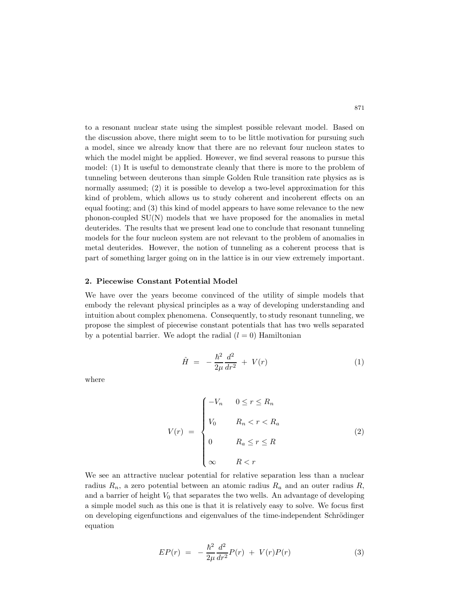to a resonant nuclear state using the simplest possible relevant model. Based on the discussion above, there might seem to to be little motivation for pursuing such a model, since we already know that there are no relevant four nucleon states to which the model might be applied. However, we find several reasons to pursue this model: (1) It is useful to demonstrate cleanly that there is more to the problem of tunneling between deuterons than simple Golden Rule transition rate physics as is normally assumed; (2) it is possible to develop a two-level approximation for this kind of problem, which allows us to study coherent and incoherent effects on an equal footing; and (3) this kind of model appears to have some relevance to the new phonon-coupled SU(N) models that we have proposed for the anomalies in metal deuterides. The results that we present lead one to conclude that resonant tunneling models for the four nucleon system are not relevant to the problem of anomalies in metal deuterides. However, the notion of tunneling as a coherent process that is part of something larger going on in the lattice is in our view extremely important.

## **2. Piecewise Constant Potential Model**

We have over the years become convinced of the utility of simple models that embody the relevant physical principles as a way of developing understanding and intuition about complex phenomena. Consequently, to study resonant tunneling, we propose the simplest of piecewise constant potentials that has two wells separated by a potential barrier. We adopt the radial  $(l = 0)$  Hamiltonian

$$
\hat{H} = -\frac{\hbar^2}{2\mu} \frac{d^2}{dr^2} + V(r) \tag{1}
$$

where

$$
V(r) = \begin{cases} -V_n & 0 \le r \le R_n \\ V_0 & R_n < r < R_a \\ 0 & R_a \le r \le R \\ \infty & R < r \end{cases}
$$
 (2)

We see an attractive nuclear potential for relative separation less than a nuclear radius  $R_n$ , a zero potential between an atomic radius  $R_a$  and an outer radius  $R$ , and a barrier of height  $V_0$  that separates the two wells. An advantage of developing a simple model such as this one is that it is relatively easy to solve. We focus first on developing eigenfunctions and eigenvalues of the time-independent Schrödinger equation

$$
EP(r) = -\frac{\hbar^2}{2\mu} \frac{d^2}{dr^2} P(r) + V(r)P(r) \tag{3}
$$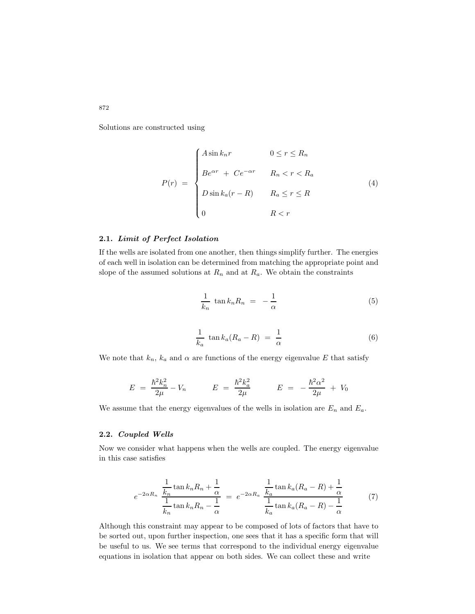Solutions are constructed using

$$
P(r) = \begin{cases} A\sin k_n r & 0 \le r \le R_n \\ B e^{\alpha r} + C e^{-\alpha r} & R_n < r < R_a \\ D\sin k_a (r - R) & R_a \le r \le R \\ 0 & R < r \end{cases}
$$
(4)

# **2.1.** *Limit of Perfect Isolation*

If the wells are isolated from one another, then things simplify further. The energies of each well in isolation can be determined from matching the appropriate point and slope of the assumed solutions at  $R_n$  and at  $R_a$ . We obtain the constraints

$$
\frac{1}{k_n} \tan k_n R_n = -\frac{1}{\alpha} \tag{5}
$$

$$
\frac{1}{k_a} \tan k_a (R_a - R) = \frac{1}{\alpha} \tag{6}
$$

We note that  $k_n$ ,  $k_a$  and  $\alpha$  are functions of the energy eigenvalue E that satisfy

$$
E = \frac{\hbar^2 k_n^2}{2\mu} - V_n \qquad E = \frac{\hbar^2 k_a^2}{2\mu} \qquad E = -\frac{\hbar^2 \alpha^2}{2\mu} + V_0
$$

We assume that the energy eigenvalues of the wells in isolation are  $E_n$  and  $E_a$ .

## **2.2.** *Coupled Wells*

Now we consider what happens when the wells are coupled. The energy eigenvalue in this case satisfies

$$
e^{-2\alpha R_n} \frac{\frac{1}{k_n} \tan k_n R_n + \frac{1}{\alpha}}{\frac{1}{k_n} \tan k_n R_n - \frac{1}{\alpha}} = e^{-2\alpha R_a} \frac{\frac{1}{k_a} \tan k_a (R_a - R) + \frac{1}{\alpha}}{\frac{1}{k_a} \tan k_a (R_a - R) - \frac{1}{\alpha}}
$$
(7)

Although this constraint may appear to be composed of lots of factors that have to be sorted out, upon further inspection, one sees that it has a specific form that will be useful to us. We see terms that correspond to the individual energy eigenvalue equations in isolation that appear on both sides. We can collect these and write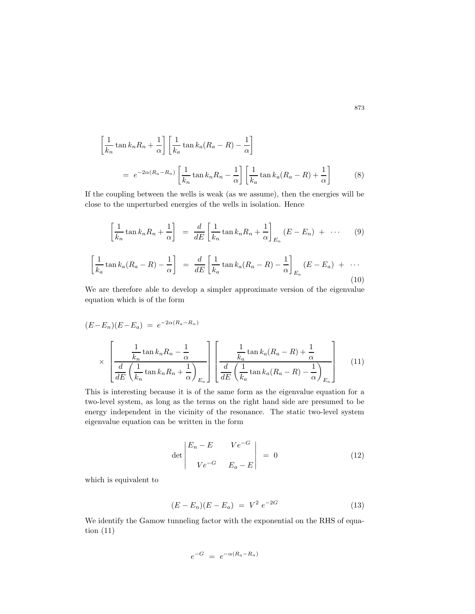$$
\left[\frac{1}{k_n}\tan k_n R_n + \frac{1}{\alpha}\right] \left[\frac{1}{k_a}\tan k_a (R_a - R) - \frac{1}{\alpha}\right]
$$

$$
= e^{-2\alpha(R_a - R_n)} \left[\frac{1}{k_n}\tan k_n R_n - \frac{1}{\alpha}\right] \left[\frac{1}{k_a}\tan k_a (R_a - R) + \frac{1}{\alpha}\right]
$$
(8)

If the coupling between the wells is weak (as we assume), then the energies will be close to the unperturbed energies of the wells in isolation. Hence

$$
\left[\frac{1}{k_n}\tan k_n R_n + \frac{1}{\alpha}\right] = \frac{d}{dE}\left[\frac{1}{k_n}\tan k_n R_n + \frac{1}{\alpha}\right]_{E_n} (E - E_n) + \cdots \qquad (9)
$$

$$
\left[\frac{1}{k_a}\tan k_a(R_a - R) - \frac{1}{\alpha}\right] = \frac{d}{dE}\left[\frac{1}{k_a}\tan k_a(R_a - R) - \frac{1}{\alpha}\right]_{E_a}(E - E_a) + \cdots
$$
\n(10)

We are therefore able to develop a simpler approximate version of the eigenvalue equation which is of the form

$$
(E - E_n)(E - E_a) = e^{-2\alpha(R_a - R_n)}
$$

$$
\times \left[\frac{\frac{1}{k_n} \tan k_n R_n - \frac{1}{\alpha}}{\frac{d}{dE} \left(\frac{1}{k_n} \tan k_n R_n + \frac{1}{\alpha}\right)_{E_n}}\right] \left[\frac{\frac{1}{k_a} \tan k_a (R_a - R) + \frac{1}{\alpha}}{\frac{d}{dE} \left(\frac{1}{k_a} \tan k_a (R_a - R) - \frac{1}{\alpha}\right)_{E_a}}\right]
$$
(11)

This is interesting because it is of the same form as the eigenvalue equation for a two-level system, as long as the terms on the right hand side are presumed to be energy independent in the vicinity of the resonance. The static two-level system eigenvalue equation can be written in the form

$$
\det \begin{vmatrix} E_n - E & V e^{-G} \\ V e^{-G} & E_a - E \end{vmatrix} = 0 \qquad (12)
$$

which is equivalent to

$$
(E - E_n)(E - E_a) = V^2 e^{-2G}
$$
 (13)

We identify the Gamow tunneling factor with the exponential on the RHS of equation (11)

$$
e^{-G} = e^{-\alpha(R_a - R_n)}
$$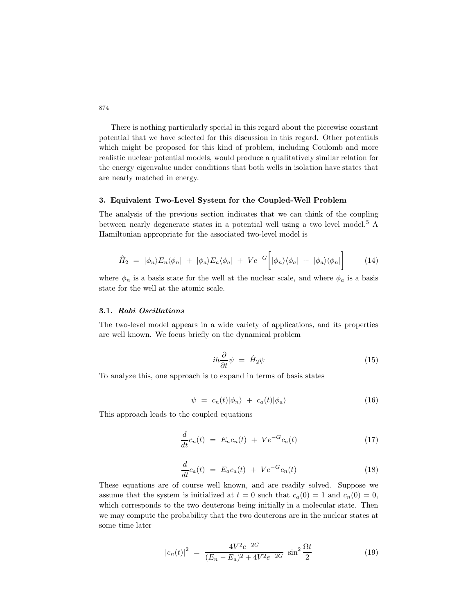There is nothing particularly special in this regard about the piecewise constant potential that we have selected for this discussion in this regard. Other potentials which might be proposed for this kind of problem, including Coulomb and more realistic nuclear potential models, would produce a qualitatively similar relation for the energy eigenvalue under conditions that both wells in isolation have states that are nearly matched in energy.

## **3. Equivalent Two-Level System for the Coupled-Well Problem**

The analysis of the previous section indicates that we can think of the coupling between nearly degenerate states in a potential well using a two level model.<sup>5</sup> A Hamiltonian appropriate for the associated two-level model is

$$
\hat{H}_2 = |\phi_n\rangle E_n \langle \phi_n| + |\phi_a\rangle E_a \langle \phi_a| + V e^{-G} \left[ |\phi_n\rangle \langle \phi_a| + |\phi_a\rangle \langle \phi_n| \right] \tag{14}
$$

where  $\phi_n$  is a basis state for the well at the nuclear scale, and where  $\phi_a$  is a basis state for the well at the atomic scale.

### **3.1.** *Rabi Oscillations*

The two-level model appears in a wide variety of applications, and its properties are well known. We focus briefly on the dynamical problem

$$
i\hbar \frac{\partial}{\partial t} \psi = \hat{H}_2 \psi \tag{15}
$$

To analyze this, one approach is to expand in terms of basis states

$$
\psi = c_n(t)|\phi_n\rangle + c_a(t)|\phi_a\rangle \tag{16}
$$

This approach leads to the coupled equations

$$
\frac{d}{dt}c_n(t) = E_n c_n(t) + V e^{-G} c_a(t)
$$
\n(17)

$$
\frac{d}{dt}c_a(t) = E_a c_a(t) + V e^{-G} c_n(t)
$$
\n(18)

These equations are of course well known, and are readily solved. Suppose we assume that the system is initialized at  $t = 0$  such that  $c_a(0) = 1$  and  $c_n(0) = 0$ , which corresponds to the two deuterons being initially in a molecular state. Then we may compute the probability that the two deuterons are in the nuclear states at some time later

$$
|c_n(t)|^2 = \frac{4V^2e^{-2G}}{(E_n - E_a)^2 + 4V^2e^{-2G}} \sin^2 \frac{\Omega t}{2}
$$
 (19)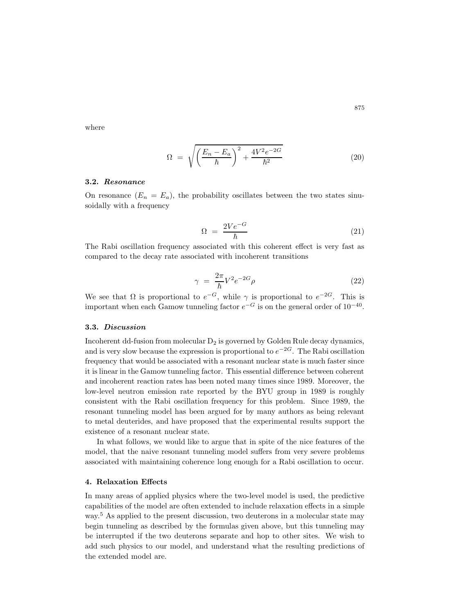where

$$
\Omega = \sqrt{\left(\frac{E_n - E_a}{\hbar}\right)^2 + \frac{4V^2e^{-2G}}{\hbar^2}}\tag{20}
$$

#### **3.2.** *Resonance*

On resonance  $(E_n = E_a)$ , the probability oscillates between the two states sinusoidally with a frequency

$$
\Omega = \frac{2Ve^{-G}}{\hbar} \tag{21}
$$

The Rabi oscillation frequency associated with this coherent effect is very fast as compared to the decay rate associated with incoherent transitions

$$
\gamma = \frac{2\pi}{\hbar} V^2 e^{-2G} \rho \tag{22}
$$

We see that  $\Omega$  is proportional to  $e^{-G}$ , while  $\gamma$  is proportional to  $e^{-2G}$ . This is important when each Gamow tunneling factor  $e^{-G}$  is on the general order of 10<sup>-40</sup>.

## **3.3.** *Discussion*

Incoherent dd-fusion from molecular  $D_2$  is governed by Golden Rule decay dynamics, and is very slow because the expression is proportional to *e*−2<sup>G</sup>. The Rabi oscillation frequency that would be associated with a resonant nuclear state is much faster since it is linear in the Gamow tunneling factor. This essential difference between coherent and incoherent reaction rates has been noted many times since 1989. Moreover, the low-level neutron emission rate reported by the BYU group in 1989 is roughly consistent with the Rabi oscillation frequency for this problem. Since 1989, the resonant tunneling model has been argued for by many authors as being relevant to metal deuterides, and have proposed that the experimental results support the existence of a resonant nuclear state.

In what follows, we would like to argue that in spite of the nice features of the model, that the naive resonant tunneling model suffers from very severe problems associated with maintaining coherence long enough for a Rabi oscillation to occur.

#### **4. Relaxation Effects**

In many areas of applied physics where the two-level model is used, the predictive capabilities of the model are often extended to include relaxation effects in a simple way.<sup>5</sup> As applied to the present discussion, two deuterons in a molecular state may begin tunneling as described by the formulas given above, but this tunneling may be interrupted if the two deuterons separate and hop to other sites. We wish to add such physics to our model, and understand what the resulting predictions of the extended model are.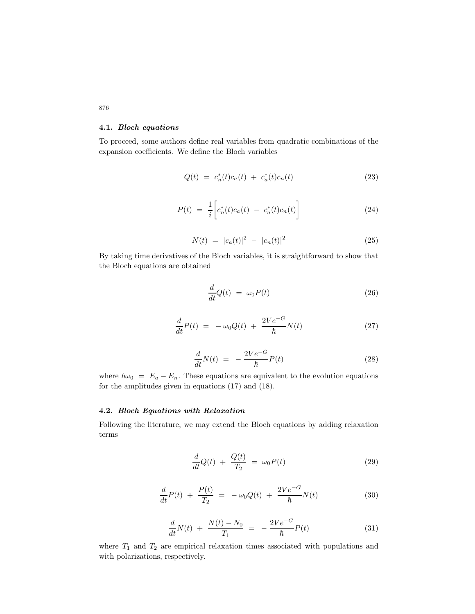# **4.1.** *Bloch equations*

To proceed, some authors define real variables from quadratic combinations of the expansion coefficients. We define the Bloch variables

$$
Q(t) = c_n^*(t)c_a(t) + c_a^*(t)c_n(t)
$$
\n(23)

$$
P(t) = \frac{1}{i} \left[ c_n^*(t) c_a(t) - c_a^*(t) c_n(t) \right]
$$
 (24)

$$
N(t) = |c_a(t)|^2 - |c_n(t)|^2 \tag{25}
$$

By taking time derivatives of the Bloch variables, it is straightforward to show that the Bloch equations are obtained

$$
\frac{d}{dt}Q(t) = \omega_0 P(t) \tag{26}
$$

$$
\frac{d}{dt}P(t) = -\omega_0 Q(t) + \frac{2Ve^{-G}}{\hbar}N(t) \tag{27}
$$

$$
\frac{d}{dt}N(t) = -\frac{2Ve^{-G}}{\hbar}P(t)
$$
\n(28)

where  $\hbar\omega_0 = E_a - E_n$ . These equations are equivalent to the evolution equations for the amplitudes given in equations (17) and (18).

## **4.2.** *Bloch Equations with Relaxation*

Following the literature, we may extend the Bloch equations by adding relaxation terms

$$
\frac{d}{dt}Q(t) + \frac{Q(t)}{T_2} = \omega_0 P(t) \tag{29}
$$

$$
\frac{d}{dt}P(t) + \frac{P(t)}{T_2} = -\omega_0 Q(t) + \frac{2Ve^{-G}}{\hbar}N(t)
$$
\n(30)

$$
\frac{d}{dt}N(t) + \frac{N(t) - N_0}{T_1} = -\frac{2Ve^{-G}}{\hbar}P(t)
$$
\n(31)

where  $T_1$  and  $T_2$  are empirical relaxation times associated with populations and with polarizations, respectively.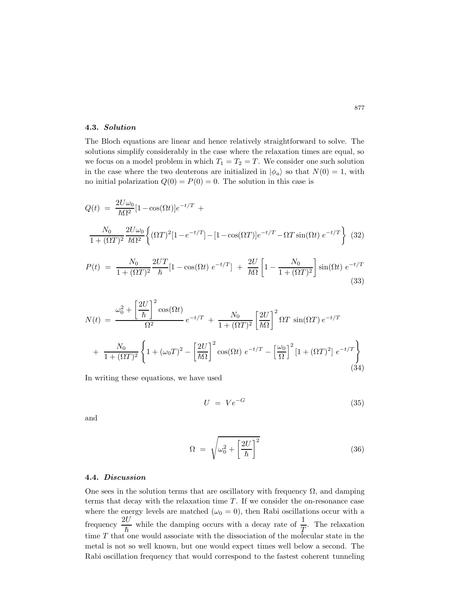## **4.3.** *Solution*

The Bloch equations are linear and hence relatively straightforward to solve. The solutions simplify considerably in the case where the relaxation times are equal, so we focus on a model problem in which  $T_1 = T_2 = T$ . We consider one such solution in the case where the two deuterons are initialized in  $|\phi_a\rangle$  so that  $N(0) = 1$ , with no initial polarization  $Q(0) = P(0) = 0$ . The solution in this case is

$$
Q(t) = \frac{2U\omega_0}{\hbar\Omega^2} [1 - \cos(\Omega t)]e^{-t/T} +
$$
  

$$
\frac{N_0}{1 + (\Omega T)^2} \frac{2U\omega_0}{\hbar\Omega^2} \left\{ (\Omega T)^2 [1 - e^{-t/T}] - [1 - \cos(\Omega T)]e^{-t/T} - \Omega T \sin(\Omega t) e^{-t/T} \right\} (32)
$$
  

$$
P(t) = \frac{N_0}{1 + (\Omega T)^2} \frac{2UT}{t} [1 - \cos(\Omega t) e^{-t/T}] + \frac{2U}{t\Omega} \left[ 1 - \frac{N_0}{1 + (\Omega T)^2} \right] \sin(\Omega t) e^{-t/T}
$$

$$
P(t) = \frac{N_0}{1 + (\Omega T)^2} \frac{2UT}{\hbar} [1 - \cos(\Omega t) e^{-t/T}] + \frac{2U}{\hbar \Omega} \left[ 1 - \frac{N_0}{1 + (\Omega T)^2} \right] \sin(\Omega t) e^{-t/T}
$$
\n(33)

$$
N(t) = \frac{\omega_0^2 + \left[\frac{2U}{\hbar}\right]^2 \cos(\Omega t)}{\Omega^2} e^{-t/T} + \frac{N_0}{1 + (\Omega T)^2} \left[\frac{2U}{\hbar \Omega}\right]^2 \Omega T \sin(\Omega T) e^{-t/T}
$$

$$
+ \frac{N_0}{1 + (\Omega T)^2} \left\{1 + (\omega_0 T)^2 - \left[\frac{2U}{\hbar \Omega}\right]^2 \cos(\Omega t) e^{-t/T} - \left[\frac{\omega_0}{\Omega}\right]^2 \left[1 + (\Omega T)^2\right] e^{-t/T} \right\}
$$
(34)

In writing these equations, we have used

$$
U = Ve^{-G} \tag{35}
$$

and

$$
\Omega = \sqrt{\omega_0^2 + \left[\frac{2U}{\hbar}\right]^2} \tag{36}
$$

## **4.4.** *Discussion*

One sees in the solution terms that are oscillatory with frequency  $\Omega$ , and damping terms that decay with the relaxation time *T*. If we consider the on-resonance case where the energy levels are matched  $(\omega_0 = 0)$ , then Rabi oscillations occur with a frequency  $\frac{2U}{\hbar}$  while the damping occurs with a decay rate of  $\frac{1}{T}$ . The relaxation time  $T$  that one would associate with the dissociation of the molecular state in the metal is not so well known, but one would expect times well below a second. The Rabi oscillation frequency that would correspond to the fastest coherent tunneling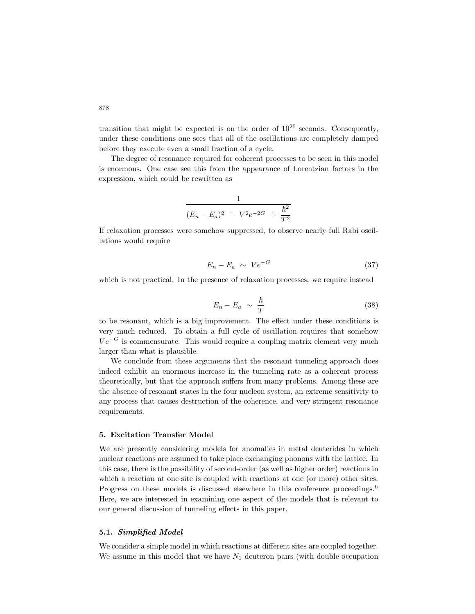transition that might be expected is on the order of  $10^{25}$  seconds. Consequently, under these conditions one sees that all of the oscillations are completely damped before they execute even a small fraction of a cycle.

The degree of resonance required for coherent processes to be seen in this model is enormous. One case see this from the appearance of Lorentzian factors in the expression, which could be rewritten as

$$
\frac{1}{(E_n - E_a)^2 + V^2 e^{-2G} + \frac{\hbar^2}{T^2}}
$$

If relaxation processes were somehow suppressed, to observe nearly full Rabi oscillations would require

$$
E_n - E_a \sim Ve^{-G} \tag{37}
$$

which is not practical. In the presence of relaxation processes, we require instead

$$
E_n - E_a \sim \frac{\hbar}{T} \tag{38}
$$

to be resonant, which is a big improvement. The effect under these conditions is very much reduced. To obtain a full cycle of oscillation requires that somehow  $Ve^{-G}$  is commensurate. This would require a coupling matrix element very much larger than what is plausible.

We conclude from these arguments that the resonant tunneling approach does indeed exhibit an enormous increase in the tunneling rate as a coherent process theoretically, but that the approach suffers from many problems. Among these are the absence of resonant states in the four nucleon system, an extreme sensitivity to any process that causes destruction of the coherence, and very stringent resonance requirements.

# **5. Excitation Transfer Model**

We are presently considering models for anomalies in metal deuterides in which nuclear reactions are assumed to take place exchanging phonons with the lattice. In this case, there is the possibility of second-order (as well as higher order) reactions in which a reaction at one site is coupled with reactions at one (or more) other sites. Progress on these models is discussed elsewhere in this conference proceedings.<sup>6</sup> Here, we are interested in examining one aspect of the models that is relevant to our general discussion of tunneling effects in this paper.

### **5.1.** *Simplified Model*

We consider a simple model in which reactions at different sites are coupled together. We assume in this model that we have *N*<sup>1</sup> deuteron pairs (with double occupation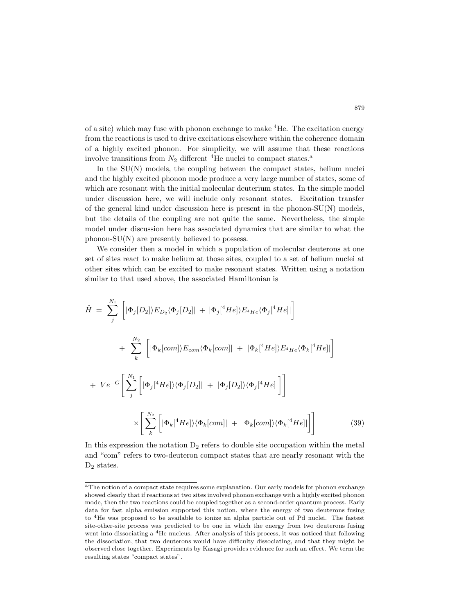of a site) which may fuse with phonon exchange to make  ${}^{4}$ He. The excitation energy from the reactions is used to drive excitations elsewhere within the coherence domain of a highly excited phonon. For simplicity, we will assume that these reactions involve transitions from  $N_2$  different <sup>4</sup>He nuclei to compact states.<sup>a</sup>

In the  $SU(N)$  models, the coupling between the compact states, helium nuclei and the highly excited phonon mode produce a very large number of states, some of which are resonant with the initial molecular deuterium states. In the simple model under discussion here, we will include only resonant states. Excitation transfer of the general kind under discussion here is present in the phonon-SU(N) models, but the details of the coupling are not quite the same. Nevertheless, the simple model under discussion here has associated dynamics that are similar to what the phonon-SU(N) are presently believed to possess.

We consider then a model in which a population of molecular deuterons at one set of sites react to make helium at those sites, coupled to a set of helium nuclei at other sites which can be excited to make resonant states. Written using a notation similar to that used above, the associated Hamiltonian is

$$
\hat{H} = \sum_{j}^{N_1} \left[ |\Phi_j[D_2]|E_{D_2}\langle \Phi_j[D_2]| + |\Phi_j[^4He] \rangle E_{^4He} \langle \Phi_j[^4He] \right]
$$
\n
$$
+ \sum_{k}^{N_2} \left[ |\Phi_k[com] \rangle E_{com} \langle \Phi_k[com] | + |\Phi_k[^4He] \rangle E_{^4He} \langle \Phi_k[^4He] \right]
$$
\n
$$
+ Ve^{-G} \left[ \sum_{j}^{N_1} \left[ |\Phi_j[^4He] \rangle \langle \Phi_j[D_2]| + |\Phi_j[D_2] \rangle \langle \Phi_j[^4He] \right] \right]
$$
\n
$$
\times \left[ \sum_{k}^{N_2} \left[ |\Phi_k[^4He] \rangle \langle \Phi_k[com] | + |\Phi_k[com] \rangle \langle \Phi_k[^4He] \right] \right]
$$
\n(39)

In this expression the notation  $D_2$  refers to double site occupation within the metal and "com" refers to two-deuteron compact states that are nearly resonant with the  $D_2$  states.

<sup>&</sup>lt;sup>a</sup>The notion of a compact state requires some explanation. Our early models for phonon exchange showed clearly that if reactions at two sites involved phonon exchange with a highly excited phonon mode, then the two reactions could be coupled together as a second-order quantum process. Early data for fast alpha emission supported this notion, where the energy of two deuterons fusing to <sup>4</sup>He was proposed to be available to ionize an alpha particle out of Pd nuclei. The fastest site-other-site process was predicted to be one in which the energy from two deuterons fusing went into dissociating a <sup>4</sup>He nucleus. After analysis of this process, it was noticed that following the dissociation, that two deuterons would have difficulty dissociating, and that they might be observed close together. Experiments by Kasagi provides evidence for such an effect. We term the resulting states "compact states".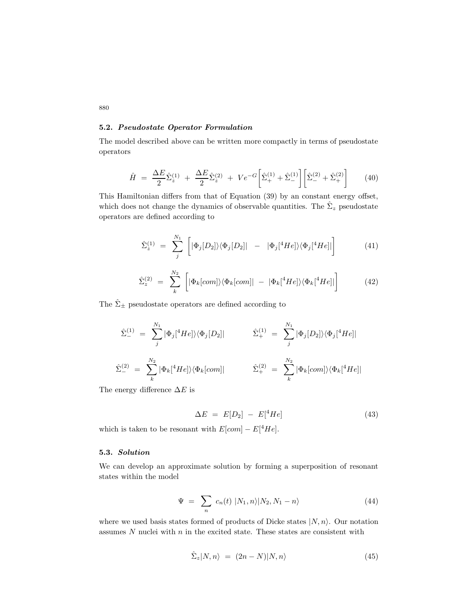# **5.2.** *Pseudostate Operator Formulation*

The model described above can be written more compactly in terms of pseudostate operators

$$
\hat{H} = \frac{\Delta E}{2} \hat{\Sigma}_{z}^{(1)} + \frac{\Delta E}{2} \hat{\Sigma}_{z}^{(2)} + V e^{-G} \left[ \hat{\Sigma}_{+}^{(1)} + \hat{\Sigma}_{-}^{(1)} \right] \left[ \hat{\Sigma}_{-}^{(2)} + \hat{\Sigma}_{+}^{(2)} \right]
$$
(40)

This Hamiltonian differs from that of Equation (39) by an constant energy offset, which does not change the dynamics of observable quantities. The  $\hat{\Sigma}_z$  pseudostate operators are defined according to

$$
\hat{\Sigma}_z^{(1)} = \sum_j^{N_1} \left[ |\Phi_j[D_2] \rangle \langle \Phi_j[D_2] | - |\Phi_j[{}^4He] \rangle \langle \Phi_j[{}^4He] | \right] \tag{41}
$$

$$
\hat{\Sigma}_z^{(2)} = \sum_k^{N_2} \left[ |\Phi_k[com] \rangle \langle \Phi_k[com]| - |\Phi_k[^\{4}He] \rangle \langle \Phi_k[^\{4}He]| \right] \tag{42}
$$

The  $\hat{\Sigma}_{\pm}$  pseudostate operators are defined according to

$$
\hat{\Sigma}_{-}^{(1)} = \sum_{j}^{N_1} |\Phi_j|^4 He] \rangle \langle \Phi_j[D_2]| \qquad \hat{\Sigma}_{+}^{(1)} = \sum_{j}^{N_1} |\Phi_j[D_2] \rangle \langle \Phi_j|^4 He]|
$$
\n
$$
\hat{\Sigma}_{-}^{(2)} = \sum_{k}^{N_2} |\Phi_k|^4 He] \rangle \langle \Phi_k[com]| \qquad \hat{\Sigma}_{+}^{(2)} = \sum_{k}^{N_2} |\Phi_k[com] \rangle \langle \Phi_k[{}^4 He]|
$$

The energy difference ∆*E* is

$$
\Delta E = E[D_2] - E[{}^4He]
$$
\n(43)

which is taken to be resonant with  $E[com] - E[$ <sup>4</sup> $He]$ .

# **5.3.** *Solution*

We can develop an approximate solution by forming a superposition of resonant states within the model

$$
\Psi = \sum_{n} c_n(t) \left| N_1, n \right\rangle |N_2, N_1 - n \rangle \tag{44}
$$

where we used basis states formed of products of Dicke states  $|N, n\rangle$ . Our notation assumes *N* nuclei with *n* in the excited state. These states are consistent with

$$
\hat{\Sigma}_z|N,n\rangle = (2n-N)|N,n\rangle \tag{45}
$$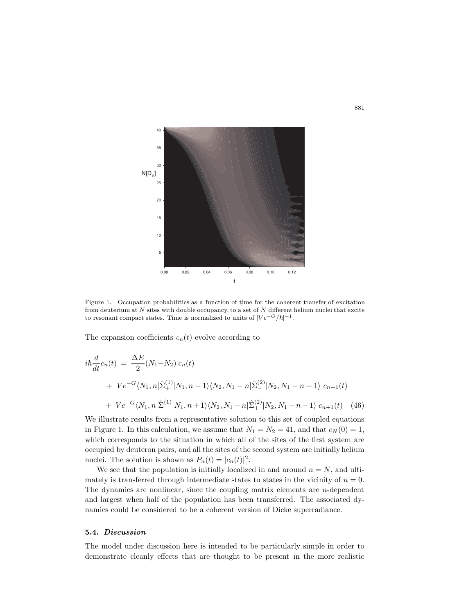

Figure 1. Occupation probabilities as a function of time for the coherent transfer of excitation from deuterium at *N* sites with double occupancy, to a set of *N* different helium nuclei that excite to resonant compact states. Time is normalized to units of  $[Ve^{-G}/\hbar]^{-1}$ .

The expansion coefficients  $c_n(t)$  evolve according to

$$
i\hbar \frac{d}{dt} c_n(t) = \frac{\Delta E}{2} (N_1 - N_2) c_n(t)
$$
  
+ 
$$
V e^{-G} \langle N_1, n | \hat{\Sigma}_+^{(1)} | N_1, n - 1 \rangle \langle N_2, N_1 - n | \hat{\Sigma}_-^{(2)} | N_2, N_1 - n + 1 \rangle c_{n-1}(t)
$$
  
+ 
$$
V e^{-G} \langle N_1, n | \hat{\Sigma}_-^{(1)} | N_1, n + 1 \rangle \langle N_2, N_1 - n | \hat{\Sigma}_+^{(2)} | N_2, N_1 - n - 1 \rangle c_{n+1}(t) \quad (46)
$$

We illustrate results from a representative solution to this set of coupled equations in Figure 1. In this calculation, we assume that  $N_1 = N_2 = 41$ , and that  $c_N(0) = 1$ , which corresponds to the situation in which all of the sites of the first system are occupied by deuteron pairs, and all the sites of the second system are initially helium nuclei. The solution is shown as  $P_n(t) = |c_n(t)|^2$ .

We see that the population is initially localized in and around  $n = N$ , and ultimately is transferred through intermediate states to states in the vicinity of  $n = 0$ . The dynamics are nonlinear, since the coupling matrix elements are *n*-dependent and largest when half of the population has been transferred. The associated dynamics could be considered to be a coherent version of Dicke superradiance.

## **5.4.** *Discussion*

The model under discussion here is intended to be particularly simple in order to demonstrate cleanly effects that are thought to be present in the more realistic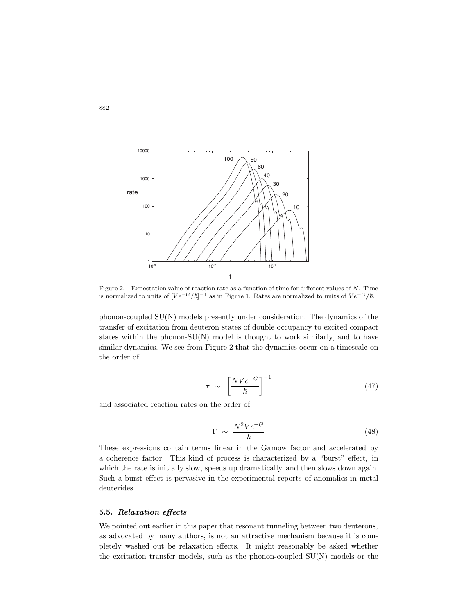

Figure 2. Expectation value of reaction rate as a function of time for different values of *N*. Time is normalized to units of  $[Ve^{-G}/\hbar]^{-1}$  as in Figure 1. Rates are normalized to units of  $Ve^{-G}/\hbar$ .

phonon-coupled SU(N) models presently under consideration. The dynamics of the transfer of excitation from deuteron states of double occupancy to excited compact states within the phonon- $SU(N)$  model is thought to work similarly, and to have similar dynamics. We see from Figure 2 that the dynamics occur on a timescale on the order of

$$
\tau \sim \left[\frac{NVe^{-G}}{\hbar}\right]^{-1} \tag{47}
$$

and associated reaction rates on the order of

$$
\Gamma \sim \frac{N^2 V e^{-G}}{\hbar} \tag{48}
$$

These expressions contain terms linear in the Gamow factor and accelerated by a coherence factor. This kind of process is characterized by a "burst" effect, in which the rate is initially slow, speeds up dramatically, and then slows down again. Such a burst effect is pervasive in the experimental reports of anomalies in metal deuterides.

## **5.5.** *Relaxation effects*

We pointed out earlier in this paper that resonant tunneling between two deuterons, as advocated by many authors, is not an attractive mechanism because it is completely washed out be relaxation effects. It might reasonably be asked whether the excitation transfer models, such as the phonon-coupled SU(N) models or the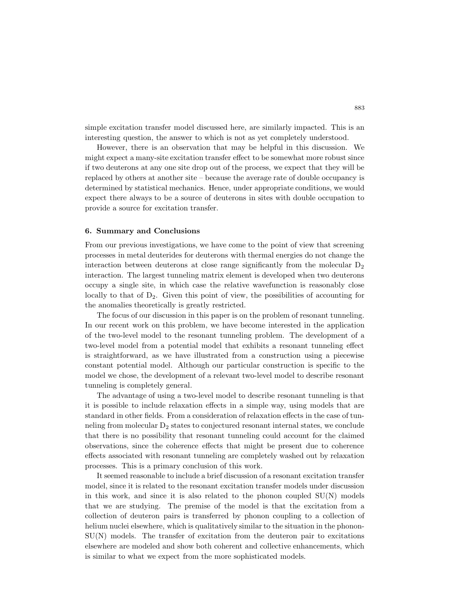simple excitation transfer model discussed here, are similarly impacted. This is an interesting question, the answer to which is not as yet completely understood.

However, there is an observation that may be helpful in this discussion. We might expect a many-site excitation transfer effect to be somewhat more robust since if two deuterons at any one site drop out of the process, we expect that they will be replaced by others at another site – because the average rate of double occupancy is determined by statistical mechanics. Hence, under appropriate conditions, we would expect there always to be a source of deuterons in sites with double occupation to provide a source for excitation transfer.

## **6. Summary and Conclusions**

From our previous investigations, we have come to the point of view that screening processes in metal deuterides for deuterons with thermal energies do not change the interaction between deuterons at close range significantly from the molecular  $D_2$ interaction. The largest tunneling matrix element is developed when two deuterons occupy a single site, in which case the relative wavefunction is reasonably close locally to that of  $D_2$ . Given this point of view, the possibilities of accounting for the anomalies theoretically is greatly restricted.

The focus of our discussion in this paper is on the problem of resonant tunneling. In our recent work on this problem, we have become interested in the application of the two-level model to the resonant tunneling problem. The development of a two-level model from a potential model that exhibits a resonant tunneling effect is straightforward, as we have illustrated from a construction using a piecewise constant potential model. Although our particular construction is specific to the model we chose, the development of a relevant two-level model to describe resonant tunneling is completely general.

The advantage of using a two-level model to describe resonant tunneling is that it is possible to include relaxation effects in a simple way, using models that are standard in other fields. From a consideration of relaxation effects in the case of tunneling from molecular  $D_2$  states to conjectured resonant internal states, we conclude that there is no possibility that resonant tunneling could account for the claimed observations, since the coherence effects that might be present due to coherence effects associated with resonant tunneling are completely washed out by relaxation processes. This is a primary conclusion of this work.

It seemed reasonable to include a brief discussion of a resonant excitation transfer model, since it is related to the resonant excitation transfer models under discussion in this work, and since it is also related to the phonon coupled SU(N) models that we are studying. The premise of the model is that the excitation from a collection of deuteron pairs is transferred by phonon coupling to a collection of helium nuclei elsewhere, which is qualitatively similar to the situation in the phonon-SU(N) models. The transfer of excitation from the deuteron pair to excitations elsewhere are modeled and show both coherent and collective enhancements, which is similar to what we expect from the more sophisticated models.